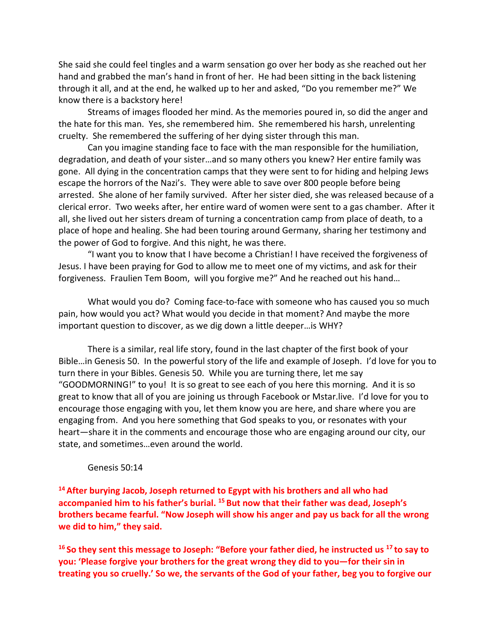She said she could feel tingles and a warm sensation go over her body as she reached out her hand and grabbed the man's hand in front of her. He had been sitting in the back listening through it all, and at the end, he walked up to her and asked, "Do you remember me?" We know there is a backstory here!

Streams of images flooded her mind. As the memories poured in, so did the anger and the hate for this man. Yes, she remembered him. She remembered his harsh, unrelenting cruelty. She remembered the suffering of her dying sister through this man.

Can you imagine standing face to face with the man responsible for the humiliation, degradation, and death of your sister…and so many others you knew? Her entire family was gone. All dying in the concentration camps that they were sent to for hiding and helping Jews escape the horrors of the Nazi's. They were able to save over 800 people before being arrested. She alone of her family survived. After her sister died, she was released because of a clerical error. Two weeks after, her entire ward of women were sent to a gas chamber. After it all, she lived out her sisters dream of turning a concentration camp from place of death, to a place of hope and healing. She had been touring around Germany, sharing her testimony and the power of God to forgive. And this night, he was there.

"I want you to know that I have become a Christian! I have received the forgiveness of Jesus. I have been praying for God to allow me to meet one of my victims, and ask for their forgiveness. Fraulien Tem Boom, will you forgive me?" And he reached out his hand…

What would you do? Coming face-to-face with someone who has caused you so much pain, how would you act? What would you decide in that moment? And maybe the more important question to discover, as we dig down a little deeper…is WHY?

There is a similar, real life story, found in the last chapter of the first book of your Bible…in Genesis 50. In the powerful story of the life and example of Joseph. I'd love for you to turn there in your Bibles. Genesis 50. While you are turning there, let me say "GOODMORNING!" to you! It is so great to see each of you here this morning. And it is so great to know that all of you are joining us through Facebook or Mstar.live. I'd love for you to encourage those engaging with you, let them know you are here, and share where you are engaging from. And you here something that God speaks to you, or resonates with your heart—share it in the comments and encourage those who are engaging around our city, our state, and sometimes…even around the world.

## Genesis 50:14

**<sup>14</sup> After burying Jacob, Joseph returned to Egypt with his brothers and all who had accompanied him to his father's burial. <sup>15</sup> But now that their father was dead, Joseph's brothers became fearful. "Now Joseph will show his anger and pay us back for all the wrong we did to him," they said.**

**<sup>16</sup> So they sent this message to Joseph: "Before your father died, he instructed us <sup>17</sup> to say to you: 'Please forgive your brothers for the great wrong they did to you—for their sin in treating you so cruelly.' So we, the servants of the God of your father, beg you to forgive our**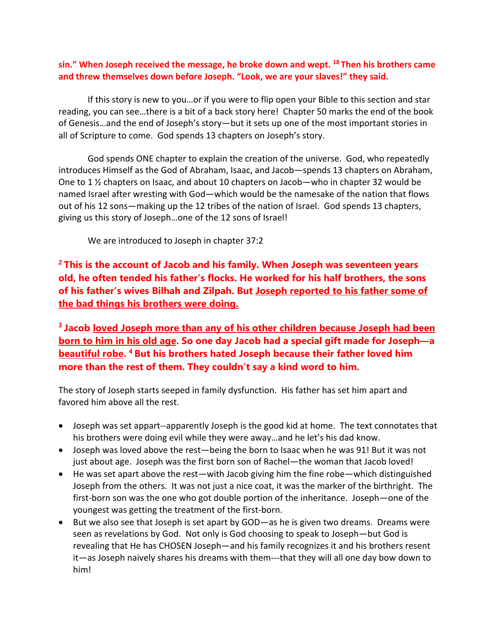## **sin." When Joseph received the message, he broke down and wept. <sup>18</sup> Then his brothers came and threw themselves down before Joseph. "Look, we are your slaves!" they said.**

If this story is new to you…or if you were to flip open your Bible to this section and star reading, you can see…there is a bit of a back story here! Chapter 50 marks the end of the book of Genesis…and the end of Joseph's story—but it sets up one of the most important stories in all of Scripture to come. God spends 13 chapters on Joseph's story.

God spends ONE chapter to explain the creation of the universe. God, who repeatedly introduces Himself as the God of Abraham, Isaac, and Jacob—spends 13 chapters on Abraham, One to 1 ½ chapters on Isaac, and about 10 chapters on Jacob—who in chapter 32 would be named Israel after wresting with God—which would be the namesake of the nation that flows out of his 12 sons—making up the 12 tribes of the nation of Israel. God spends 13 chapters, giving us this story of Joseph…one of the 12 sons of Israel!

We are introduced to Joseph in chapter 37:2

**<sup>2</sup> This is the account of Jacob and his family. When Joseph was seventeen years old, he often tended his father's flocks. He worked for his half brothers, the sons of his father's wives Bilhah and Zilpah. But Joseph reported to his father some of the bad things his brothers were doing.**

**<sup>3</sup> Jacob loved Joseph more than any of his other children because Joseph had been born to him in his old age. So one day Jacob had a special gift made for Joseph—a beautiful robe. <sup>4</sup> But his brothers hated Joseph because their father loved him more than the rest of them. They couldn't say a kind word to him.**

The story of Joseph starts seeped in family dysfunction. His father has set him apart and favored him above all the rest.

- Joseph was set appart--apparently Joseph is the good kid at home. The text connotates that his brothers were doing evil while they were away…and he let's his dad know.
- Joseph was loved above the rest—being the born to Isaac when he was 91! But it was not just about age. Joseph was the first born son of Rachel—the woman that Jacob loved!
- He was set apart above the rest—with Jacob giving him the fine robe—which distinguished Joseph from the others. It was not just a nice coat, it was the marker of the birthright. The first-born son was the one who got double portion of the inheritance. Joseph—one of the youngest was getting the treatment of the first-born.
- But we also see that Joseph is set apart by GOD—as he is given two dreams. Dreams were seen as revelations by God. Not only is God choosing to speak to Joseph—but God is revealing that He has CHOSEN Joseph—and his family recognizes it and his brothers resent it—as Joseph naively shares his dreams with them---that they will all one day bow down to him!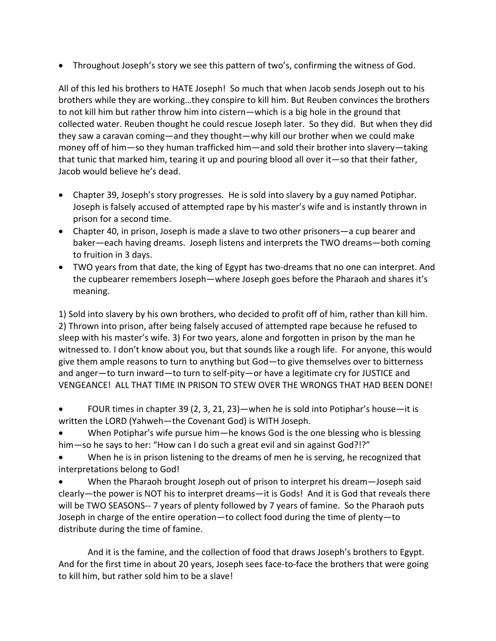• Throughout Joseph's story we see this pattern of two's, confirming the witness of God.

All of this led his brothers to HATE Joseph! So much that when Jacob sends Joseph out to his brothers while they are working…they conspire to kill him. But Reuben convinces the brothers to not kill him but rather throw him into cistern—which is a big hole in the ground that collected water. Reuben thought he could rescue Joseph later. So they did. But when they did they saw a caravan coming—and they thought—why kill our brother when we could make money off of him—so they human trafficked him—and sold their brother into slavery—taking that tunic that marked him, tearing it up and pouring blood all over it—so that their father, Jacob would believe he's dead.

- Chapter 39, Joseph's story progresses. He is sold into slavery by a guy named Potiphar. Joseph is falsely accused of attempted rape by his master's wife and is instantly thrown in prison for a second time.
- Chapter 40, in prison, Joseph is made a slave to two other prisoners—a cup bearer and baker—each having dreams. Joseph listens and interprets the TWO dreams—both coming to fruition in 3 days.
- TWO years from that date, the king of Egypt has two-dreams that no one can interpret. And the cupbearer remembers Joseph—where Joseph goes before the Pharaoh and shares it's meaning.

1) Sold into slavery by his own brothers, who decided to profit off of him, rather than kill him. 2) Thrown into prison, after being falsely accused of attempted rape because he refused to sleep with his master's wife. 3) For two years, alone and forgotten in prison by the man he witnessed to. I don't know about you, but that sounds like a rough life. For anyone, this would give them ample reasons to turn to anything but God—to give themselves over to bitterness and anger—to turn inward—to turn to self-pity—or have a legitimate cry for JUSTICE and VENGEANCE! ALL THAT TIME IN PRISON TO STEW OVER THE WRONGS THAT HAD BEEN DONE!

- FOUR times in chapter 39 (2, 3, 21, 23)—when he is sold into Potiphar's house—it is written the LORD (Yahweh—the Covenant God) is WITH Joseph.
- When Potiphar's wife pursue him—he knows God is the one blessing who is blessing him—so he says to her: "How can I do such a great evil and sin against God?!?"
- When he is in prison listening to the dreams of men he is serving, he recognized that interpretations belong to God!

• When the Pharaoh brought Joseph out of prison to interpret his dream—Joseph said clearly—the power is NOT his to interpret dreams—it is Gods! And it is God that reveals there will be TWO SEASONS-- 7 years of plenty followed by 7 years of famine. So the Pharaoh puts Joseph in charge of the entire operation—to collect food during the time of plenty—to distribute during the time of famine.

And it is the famine, and the collection of food that draws Joseph's brothers to Egypt. And for the first time in about 20 years, Joseph sees face-to-face the brothers that were going to kill him, but rather sold him to be a slave!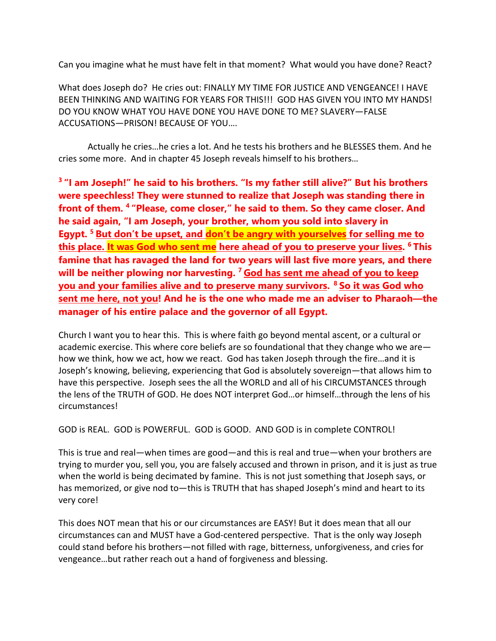Can you imagine what he must have felt in that moment? What would you have done? React?

What does Joseph do? He cries out: FINALLY MY TIME FOR JUSTICE AND VENGEANCE! I HAVE BEEN THINKING AND WAITING FOR YEARS FOR THIS!!! GOD HAS GIVEN YOU INTO MY HANDS! DO YOU KNOW WHAT YOU HAVE DONE YOU HAVE DONE TO ME? SLAVERY—FALSE ACCUSATIONS—PRISON! BECAUSE OF YOU….

Actually he cries…he cries a lot. And he tests his brothers and he BLESSES them. And he cries some more. And in chapter 45 Joseph reveals himself to his brothers…

**<sup>3</sup> "I am Joseph!" he said to his brothers. "Is my father still alive?" But his brothers were speechless! They were stunned to realize that Joseph was standing there in front of them. <sup>4</sup> "Please, come closer," he said to them. So they came closer. And he said again, "I am Joseph, your brother, whom you sold into slavery in Egypt. <sup>5</sup> But don't be upset, and don't be angry with yourselves for selling me to this place. It was God who sent me here ahead of you to preserve your lives. <sup>6</sup> This famine that has ravaged the land for two years will last five more years, and there will be neither plowing nor harvesting. <sup>7</sup> God has sent me ahead of you to keep you and your families alive and to preserve many survivors. <sup>8</sup> So it was God who sent me here, not you! And he is the one who made me an adviser to Pharaoh—the manager of his entire palace and the governor of all Egypt.**

Church I want you to hear this. This is where faith go beyond mental ascent, or a cultural or academic exercise. This where core beliefs are so foundational that they change who we are how we think, how we act, how we react. God has taken Joseph through the fire…and it is Joseph's knowing, believing, experiencing that God is absolutely sovereign—that allows him to have this perspective. Joseph sees the all the WORLD and all of his CIRCUMSTANCES through the lens of the TRUTH of GOD. He does NOT interpret God…or himself…through the lens of his circumstances!

GOD is REAL. GOD is POWERFUL. GOD is GOOD. AND GOD is in complete CONTROL!

This is true and real—when times are good—and this is real and true—when your brothers are trying to murder you, sell you, you are falsely accused and thrown in prison, and it is just as true when the world is being decimated by famine. This is not just something that Joseph says, or has memorized, or give nod to-this is TRUTH that has shaped Joseph's mind and heart to its very core!

This does NOT mean that his or our circumstances are EASY! But it does mean that all our circumstances can and MUST have a God-centered perspective. That is the only way Joseph could stand before his brothers—not filled with rage, bitterness, unforgiveness, and cries for vengeance…but rather reach out a hand of forgiveness and blessing.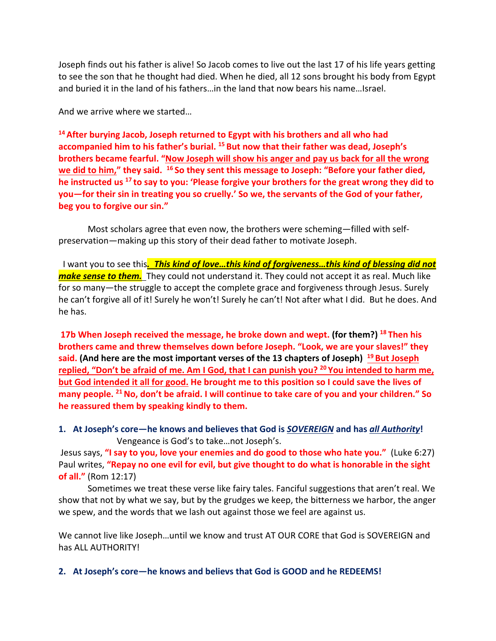Joseph finds out his father is alive! So Jacob comes to live out the last 17 of his life years getting to see the son that he thought had died. When he died, all 12 sons brought his body from Egypt and buried it in the land of his fathers…in the land that now bears his name…Israel.

And we arrive where we started…

**<sup>14</sup> After burying Jacob, Joseph returned to Egypt with his brothers and all who had accompanied him to his father's burial. <sup>15</sup> But now that their father was dead, Joseph's brothers became fearful. "Now Joseph will show his anger and pay us back for all the wrong we did to him," they said. 16 So they sent this message to Joseph: "Before your father died, he instructed us <sup>17</sup> to say to you: 'Please forgive your brothers for the great wrong they did to you—for their sin in treating you so cruelly.' So we, the servants of the God of your father, beg you to forgive our sin."** 

Most scholars agree that even now, the brothers were scheming—filled with selfpreservation—making up this story of their dead father to motivate Joseph.

 I want you to see this*. This kind of love…this kind of forgiveness…this kind of blessing did not make sense to them.* They could not understand it. They could not accept it as real. Much like for so many—the struggle to accept the complete grace and forgiveness through Jesus. Surely he can't forgive all of it! Surely he won't! Surely he can't! Not after what I did. But he does. And he has.

**17b When Joseph received the message, he broke down and wept. (for them?) <sup>18</sup> Then his brothers came and threw themselves down before Joseph. "Look, we are your slaves!" they said. (And here are the most important verses of the 13 chapters of Joseph) 19 But Joseph replied, "Don't be afraid of me. Am I God, that I can punish you? <sup>20</sup> You intended to harm me, but God intended it all for good. He brought me to this position so I could save the lives of many people. 21No, don't be afraid. I will continue to take care of you and your children." So he reassured them by speaking kindly to them.**

**1. At Joseph's core—he knows and believes that God is** *SOVEREIGN* **and has** *all Authority***!** Vengeance is God's to take…not Joseph's.

Jesus says, **"I say to you, love your enemies and do good to those who hate you."** (Luke 6:27) Paul writes, **"Repay no one evil for evil, but give thought to do what is honorable in the sight of all."** (Rom 12:17)

Sometimes we treat these verse like fairy tales. Fanciful suggestions that aren't real. We show that not by what we say, but by the grudges we keep, the bitterness we harbor, the anger we spew, and the words that we lash out against those we feel are against us.

We cannot live like Joseph…until we know and trust AT OUR CORE that God is SOVEREIGN and has ALL AUTHORITY!

**2. At Joseph's core—he knows and believs that God is GOOD and he REDEEMS!**